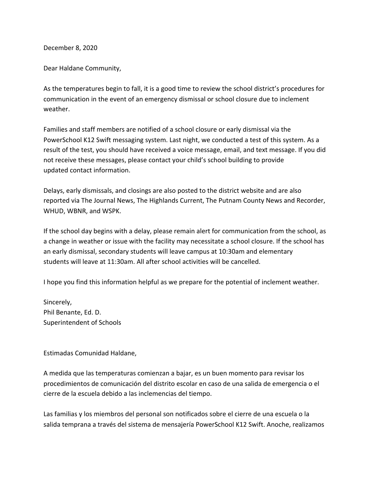December 8, 2020

Dear Haldane Community,

As the temperatures begin to fall, it is a good time to review the school district's procedures for communication in the event of an emergency dismissal or school closure due to inclement weather.

Families and staff members are notified of a school closure or early dismissal via the PowerSchool K12 Swift messaging system. Last night, we conducted a test of this system. As a result of the test, you should have received a voice message, email, and text message. If you did not receive these messages, please contact your child's school building to provide updated contact information.

Delays, early dismissals, and closings are also posted to the district website and are also reported via The Journal News, The Highlands Current, The Putnam County News and Recorder, WHUD, WBNR, and WSPK.

If the school day begins with a delay, please remain alert for communication from the school, as a change in weather or issue with the facility may necessitate a school closure. If the school has an early dismissal, secondary students will leave campus at 10:30am and elementary students will leave at 11:30am. All after school activities will be cancelled.

I hope you find this information helpful as we prepare for the potential of inclement weather.

Sincerely, Phil Benante, Ed. D. Superintendent of Schools

Estimadas Comunidad Haldane,

A medida que las temperaturas comienzan a bajar, es un buen momento para revisar los procedimientos de comunicación del distrito escolar en caso de una salida de emergencia o el cierre de la escuela debido a las inclemencias del tiempo.

Las familias y los miembros del personal son notificados sobre el cierre de una escuela o la salida temprana a través del sistema de mensajería PowerSchool K12 Swift. Anoche, realizamos